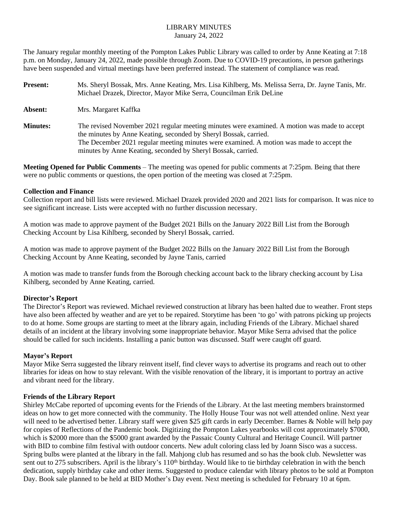#### LIBRARY MINUTES January 24, 2022

The January regular monthly meeting of the Pompton Lakes Public Library was called to order by Anne Keating at 7:18 p.m. on Monday, January 24, 2022, made possible through Zoom. Due to COVID-19 precautions, in person gatherings have been suspended and virtual meetings have been preferred instead. The statement of compliance was read.

| <b>Present:</b> | Ms. Sheryl Bossak, Mrs. Anne Keating, Mrs. Lisa Kihlberg, Ms. Melissa Serra, Dr. Jayne Tanis, Mr.<br>Michael Drazek, Director, Mayor Mike Serra, Councilman Erik DeLine                                                                                                                                                      |
|-----------------|------------------------------------------------------------------------------------------------------------------------------------------------------------------------------------------------------------------------------------------------------------------------------------------------------------------------------|
| Absent:         | Mrs. Margaret Kaffka                                                                                                                                                                                                                                                                                                         |
| <b>Minutes:</b> | The revised November 2021 regular meeting minutes were examined. A motion was made to accept<br>the minutes by Anne Keating, seconded by Sheryl Bossak, carried.<br>The December 2021 regular meeting minutes were examined. A motion was made to accept the<br>minutes by Anne Keating, seconded by Sheryl Bossak, carried. |

**Meeting Opened for Public Comments** – The meeting was opened for public comments at 7:25pm. Being that there were no public comments or questions, the open portion of the meeting was closed at 7:25pm.

#### **Collection and Finance**

Collection report and bill lists were reviewed. Michael Drazek provided 2020 and 2021 lists for comparison. It was nice to see significant increase. Lists were accepted with no further discussion necessary.

A motion was made to approve payment of the Budget 2021 Bills on the January 2022 Bill List from the Borough Checking Account by Lisa Kihlberg, seconded by Sheryl Bossak, carried.

A motion was made to approve payment of the Budget 2022 Bills on the January 2022 Bill List from the Borough Checking Account by Anne Keating, seconded by Jayne Tanis, carried

A motion was made to transfer funds from the Borough checking account back to the library checking account by Lisa Kihlberg, seconded by Anne Keating, carried.

# **Director's Report**

The Director's Report was reviewed. Michael reviewed construction at library has been halted due to weather. Front steps have also been affected by weather and are yet to be repaired. Storytime has been 'to go' with patrons picking up projects to do at home. Some groups are starting to meet at the library again, including Friends of the Library. Michael shared details of an incident at the library involving some inappropriate behavior. Mayor Mike Serra advised that the police should be called for such incidents. Installing a panic button was discussed. Staff were caught off guard.

# **Mayor's Report**

Mayor Mike Serra suggested the library reinvent itself, find clever ways to advertise its programs and reach out to other libraries for ideas on how to stay relevant. With the visible renovation of the library, it is important to portray an active and vibrant need for the library.

# **Friends of the Library Report**

Shirley McCabe reported of upcoming events for the Friends of the Library. At the last meeting members brainstormed ideas on how to get more connected with the community. The Holly House Tour was not well attended online. Next year will need to be advertised better. Library staff were given \$25 gift cards in early December. Barnes & Noble will help pay for copies of Reflections of the Pandemic book. Digitizing the Pompton Lakes yearbooks will cost approximately \$7000, which is \$2000 more than the \$5000 grant awarded by the Passaic County Cultural and Heritage Council. Will partner with BID to combine film festival with outdoor concerts. New adult coloring class led by Joann Sisco was a success. Spring bulbs were planted at the library in the fall. Mahjong club has resumed and so has the book club. Newsletter was sent out to 275 subscribers. April is the library's 110<sup>th</sup> birthday. Would like to tie birthday celebration in with the bench dedication, supply birthday cake and other items. Suggested to produce calendar with library photos to be sold at Pompton Day. Book sale planned to be held at BID Mother's Day event. Next meeting is scheduled for February 10 at 6pm.